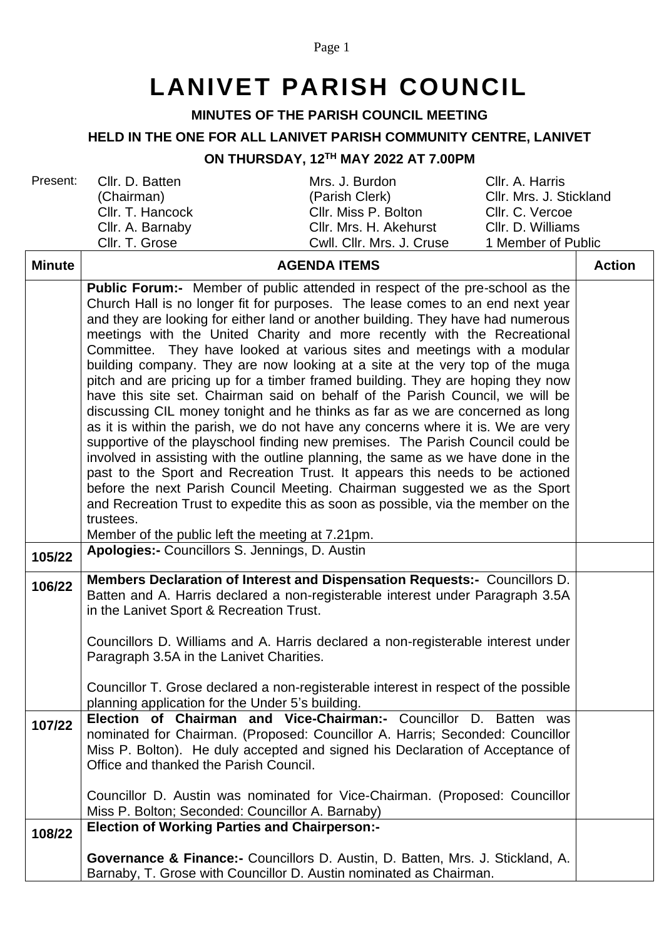## Page 1

# **LANIVET PARISH COUNCIL**

# **MINUTES OF THE PARISH COUNCIL MEETING**

## **HELD IN THE ONE FOR ALL LANIVET PARISH COMMUNITY CENTRE, LANIVET**

#### **ON THURSDAY, 12 TH MAY 2022 AT 7.00PM**

| Present:      | Cllr. D. Batten<br>(Chairman)                                                                                                                                      | Mrs. J. Burdon<br>(Parish Clerk)                                         | Cllr. A. Harris<br>Cllr. Mrs. J. Stickland |               |
|---------------|--------------------------------------------------------------------------------------------------------------------------------------------------------------------|--------------------------------------------------------------------------|--------------------------------------------|---------------|
|               | Cllr. T. Hancock                                                                                                                                                   | Cllr. Miss P. Bolton                                                     | Cllr. C. Vercoe                            |               |
|               | Cllr. A. Barnaby                                                                                                                                                   | Cllr. Mrs. H. Akehurst                                                   | CIIr. D. Williams                          |               |
|               | Cllr. T. Grose                                                                                                                                                     | Cwll. Cllr. Mrs. J. Cruse                                                | 1 Member of Public                         |               |
| <b>Minute</b> | <b>AGENDA ITEMS</b>                                                                                                                                                |                                                                          |                                            | <b>Action</b> |
|               | <b>Public Forum:-</b> Member of public attended in respect of the pre-school as the                                                                                |                                                                          |                                            |               |
|               | Church Hall is no longer fit for purposes. The lease comes to an end next year<br>and they are looking for either land or another building. They have had numerous |                                                                          |                                            |               |
|               |                                                                                                                                                                    |                                                                          |                                            |               |
|               |                                                                                                                                                                    | meetings with the United Charity and more recently with the Recreational |                                            |               |

|        | and they are looking for either land or another building. They have had numerous                                                                     |  |
|--------|------------------------------------------------------------------------------------------------------------------------------------------------------|--|
|        | meetings with the United Charity and more recently with the Recreational<br>Committee. They have looked at various sites and meetings with a modular |  |
|        | building company. They are now looking at a site at the very top of the muga                                                                         |  |
|        | pitch and are pricing up for a timber framed building. They are hoping they now                                                                      |  |
|        | have this site set. Chairman said on behalf of the Parish Council, we will be                                                                        |  |
|        | discussing CIL money tonight and he thinks as far as we are concerned as long                                                                        |  |
|        | as it is within the parish, we do not have any concerns where it is. We are very                                                                     |  |
|        | supportive of the playschool finding new premises. The Parish Council could be                                                                       |  |
|        | involved in assisting with the outline planning, the same as we have done in the                                                                     |  |
|        | past to the Sport and Recreation Trust. It appears this needs to be actioned                                                                         |  |
|        | before the next Parish Council Meeting. Chairman suggested we as the Sport                                                                           |  |
|        | and Recreation Trust to expedite this as soon as possible, via the member on the<br>trustees.                                                        |  |
|        | Member of the public left the meeting at 7.21pm.                                                                                                     |  |
|        | Apologies:- Councillors S. Jennings, D. Austin                                                                                                       |  |
| 105/22 |                                                                                                                                                      |  |
| 106/22 | Members Declaration of Interest and Dispensation Requests:- Councillors D.                                                                           |  |
|        | Batten and A. Harris declared a non-registerable interest under Paragraph 3.5A                                                                       |  |
|        | in the Lanivet Sport & Recreation Trust.                                                                                                             |  |
|        | Councillors D. Williams and A. Harris declared a non-registerable interest under                                                                     |  |
|        | Paragraph 3.5A in the Lanivet Charities.                                                                                                             |  |
|        |                                                                                                                                                      |  |
|        | Councillor T. Grose declared a non-registerable interest in respect of the possible                                                                  |  |
|        | planning application for the Under 5's building.                                                                                                     |  |
| 107/22 | Election of Chairman and Vice-Chairman:- Councillor D. Batten was                                                                                    |  |
|        | nominated for Chairman. (Proposed: Councillor A. Harris; Seconded: Councillor                                                                        |  |
|        | Miss P. Bolton). He duly accepted and signed his Declaration of Acceptance of<br>Office and thanked the Parish Council.                              |  |
|        |                                                                                                                                                      |  |
|        | Councillor D. Austin was nominated for Vice-Chairman. (Proposed: Councillor                                                                          |  |
|        | Miss P. Bolton; Seconded: Councillor A. Barnaby)                                                                                                     |  |
| 108/22 | <b>Election of Working Parties and Chairperson:-</b>                                                                                                 |  |
|        |                                                                                                                                                      |  |
|        | Governance & Finance:- Councillors D. Austin, D. Batten, Mrs. J. Stickland, A.<br>Barnaby, T. Grose with Councillor D. Austin nominated as Chairman. |  |
|        |                                                                                                                                                      |  |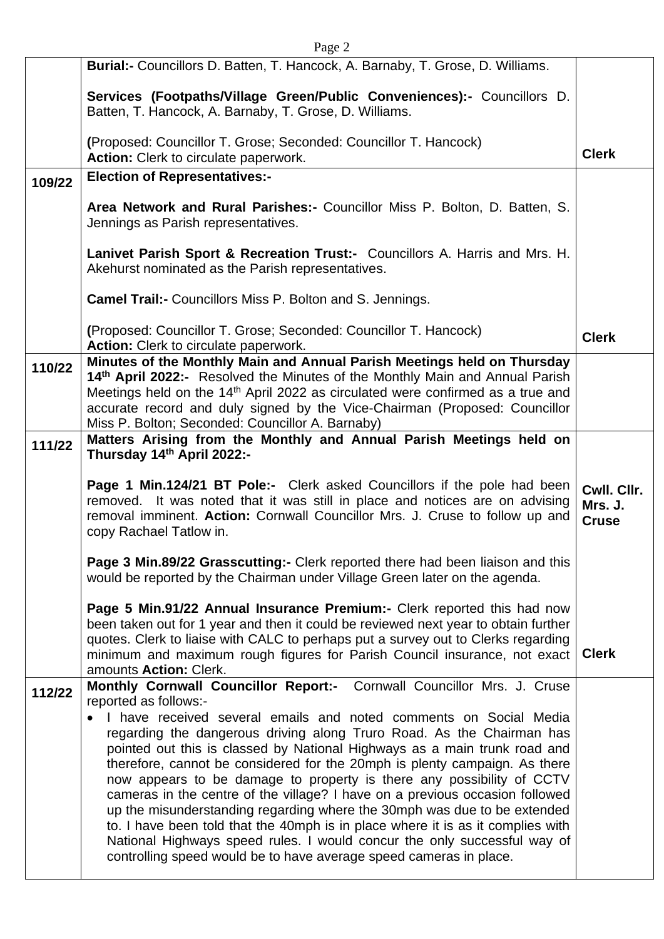| Page 2 |                                                                                                                                                                                                                                                                                                                                                                                                                                                                                                                                                                                                                                                                                                                                                                                 |                                        |  |
|--------|---------------------------------------------------------------------------------------------------------------------------------------------------------------------------------------------------------------------------------------------------------------------------------------------------------------------------------------------------------------------------------------------------------------------------------------------------------------------------------------------------------------------------------------------------------------------------------------------------------------------------------------------------------------------------------------------------------------------------------------------------------------------------------|----------------------------------------|--|
|        | Burial:- Councillors D. Batten, T. Hancock, A. Barnaby, T. Grose, D. Williams.                                                                                                                                                                                                                                                                                                                                                                                                                                                                                                                                                                                                                                                                                                  |                                        |  |
|        | Services (Footpaths/Village Green/Public Conveniences):- Councillors D.<br>Batten, T. Hancock, A. Barnaby, T. Grose, D. Williams.                                                                                                                                                                                                                                                                                                                                                                                                                                                                                                                                                                                                                                               |                                        |  |
|        | (Proposed: Councillor T. Grose; Seconded: Councillor T. Hancock)<br>Action: Clerk to circulate paperwork.                                                                                                                                                                                                                                                                                                                                                                                                                                                                                                                                                                                                                                                                       | <b>Clerk</b>                           |  |
| 109/22 | <b>Election of Representatives:-</b>                                                                                                                                                                                                                                                                                                                                                                                                                                                                                                                                                                                                                                                                                                                                            |                                        |  |
|        | Area Network and Rural Parishes:- Councillor Miss P. Bolton, D. Batten, S.<br>Jennings as Parish representatives.                                                                                                                                                                                                                                                                                                                                                                                                                                                                                                                                                                                                                                                               |                                        |  |
|        | Lanivet Parish Sport & Recreation Trust:- Councillors A. Harris and Mrs. H.<br>Akehurst nominated as the Parish representatives.                                                                                                                                                                                                                                                                                                                                                                                                                                                                                                                                                                                                                                                |                                        |  |
|        | <b>Camel Trail:- Councillors Miss P. Bolton and S. Jennings.</b>                                                                                                                                                                                                                                                                                                                                                                                                                                                                                                                                                                                                                                                                                                                |                                        |  |
|        | (Proposed: Councillor T. Grose; Seconded: Councillor T. Hancock)<br>Action: Clerk to circulate paperwork.                                                                                                                                                                                                                                                                                                                                                                                                                                                                                                                                                                                                                                                                       | <b>Clerk</b>                           |  |
| 110/22 | Minutes of the Monthly Main and Annual Parish Meetings held on Thursday<br>14th April 2022:- Resolved the Minutes of the Monthly Main and Annual Parish<br>Meetings held on the 14 <sup>th</sup> April 2022 as circulated were confirmed as a true and<br>accurate record and duly signed by the Vice-Chairman (Proposed: Councillor<br>Miss P. Bolton; Seconded: Councillor A. Barnaby)                                                                                                                                                                                                                                                                                                                                                                                        |                                        |  |
| 111/22 | Matters Arising from the Monthly and Annual Parish Meetings held on<br>Thursday 14th April 2022:-                                                                                                                                                                                                                                                                                                                                                                                                                                                                                                                                                                                                                                                                               |                                        |  |
|        | <b>Page 1 Min.124/21 BT Pole:-</b> Clerk asked Councillors if the pole had been<br>removed. It was noted that it was still in place and notices are on advising<br>removal imminent. Action: Cornwall Councillor Mrs. J. Cruse to follow up and<br>copy Rachael Tatlow in.                                                                                                                                                                                                                                                                                                                                                                                                                                                                                                      | Cwll. Cllr.<br>Mrs. J.<br><b>Cruse</b> |  |
|        | Page 3 Min.89/22 Grasscutting:- Clerk reported there had been liaison and this<br>would be reported by the Chairman under Village Green later on the agenda.                                                                                                                                                                                                                                                                                                                                                                                                                                                                                                                                                                                                                    |                                        |  |
|        | Page 5 Min.91/22 Annual Insurance Premium:- Clerk reported this had now<br>been taken out for 1 year and then it could be reviewed next year to obtain further<br>quotes. Clerk to liaise with CALC to perhaps put a survey out to Clerks regarding<br>minimum and maximum rough figures for Parish Council insurance, not exact<br>amounts Action: Clerk.                                                                                                                                                                                                                                                                                                                                                                                                                      | <b>Clerk</b>                           |  |
| 112/22 | Monthly Cornwall Councillor Report:- Cornwall Councillor Mrs. J. Cruse<br>reported as follows:-                                                                                                                                                                                                                                                                                                                                                                                                                                                                                                                                                                                                                                                                                 |                                        |  |
|        | I have received several emails and noted comments on Social Media<br>regarding the dangerous driving along Truro Road. As the Chairman has<br>pointed out this is classed by National Highways as a main trunk road and<br>therefore, cannot be considered for the 20mph is plenty campaign. As there<br>now appears to be damage to property is there any possibility of CCTV<br>cameras in the centre of the village? I have on a previous occasion followed<br>up the misunderstanding regarding where the 30mph was due to be extended<br>to. I have been told that the 40mph is in place where it is as it complies with<br>National Highways speed rules. I would concur the only successful way of<br>controlling speed would be to have average speed cameras in place. |                                        |  |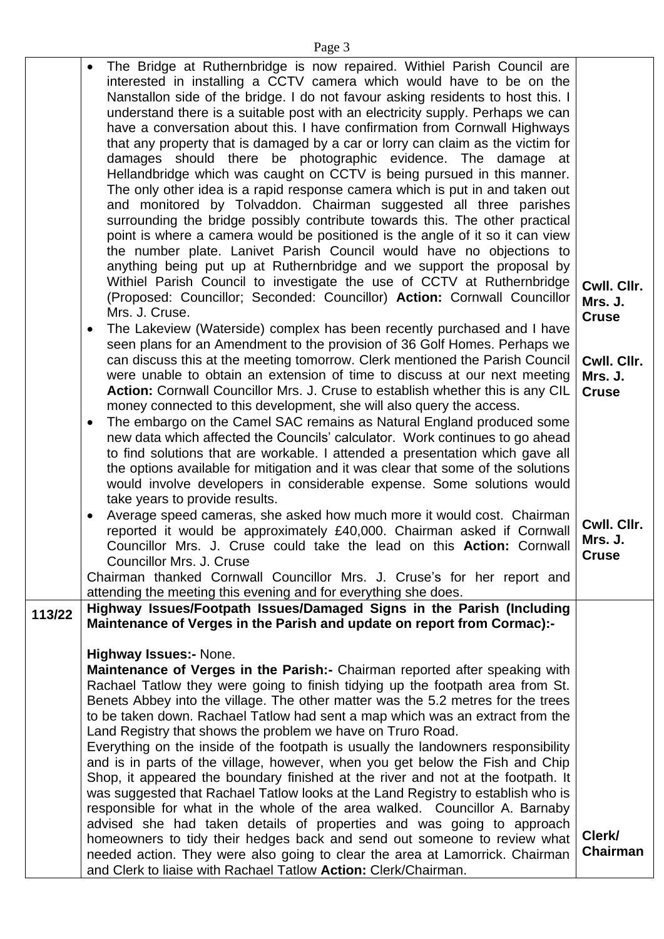Page 3

|        | The Bridge at Ruthernbridge is now repaired. Withiel Parish Council are<br>$\bullet$                                                                                 |                        |
|--------|----------------------------------------------------------------------------------------------------------------------------------------------------------------------|------------------------|
|        | interested in installing a CCTV camera which would have to be on the<br>Nanstallon side of the bridge. I do not favour asking residents to host this. I              |                        |
|        | understand there is a suitable post with an electricity supply. Perhaps we can                                                                                       |                        |
|        | have a conversation about this. I have confirmation from Cornwall Highways<br>that any property that is damaged by a car or lorry can claim as the victim for        |                        |
|        | damages should there be photographic evidence. The damage at                                                                                                         |                        |
|        | Hellandbridge which was caught on CCTV is being pursued in this manner.<br>The only other idea is a rapid response camera which is put in and taken out              |                        |
|        | and monitored by Tolvaddon. Chairman suggested all three parishes                                                                                                    |                        |
|        | surrounding the bridge possibly contribute towards this. The other practical<br>point is where a camera would be positioned is the angle of it so it can view        |                        |
|        | the number plate. Lanivet Parish Council would have no objections to                                                                                                 |                        |
|        | anything being put up at Ruthernbridge and we support the proposal by                                                                                                |                        |
|        | Withiel Parish Council to investigate the use of CCTV at Ruthernbridge<br>(Proposed: Councillor; Seconded: Councillor) Action: Cornwall Councillor                   | Cwll. Cllr.<br>Mrs. J. |
|        | Mrs. J. Cruse.                                                                                                                                                       | <b>Cruse</b>           |
|        | The Lakeview (Waterside) complex has been recently purchased and I have<br>٠                                                                                         |                        |
|        | seen plans for an Amendment to the provision of 36 Golf Homes. Perhaps we<br>can discuss this at the meeting tomorrow. Clerk mentioned the Parish Council            | Cwll. Cllr.            |
|        | were unable to obtain an extension of time to discuss at our next meeting                                                                                            | Mrs. J.                |
|        | Action: Cornwall Councillor Mrs. J. Cruse to establish whether this is any CIL<br>money connected to this development, she will also query the access.               | <b>Cruse</b>           |
|        | The embargo on the Camel SAC remains as Natural England produced some<br>$\bullet$                                                                                   |                        |
|        | new data which affected the Councils' calculator. Work continues to go ahead<br>to find solutions that are workable. I attended a presentation which gave all        |                        |
|        | the options available for mitigation and it was clear that some of the solutions                                                                                     |                        |
|        | would involve developers in considerable expense. Some solutions would<br>take years to provide results.                                                             |                        |
|        | Average speed cameras, she asked how much more it would cost. Chairman                                                                                               | Cwll. Cllr.            |
|        | reported it would be approximately £40,000. Chairman asked if Cornwall<br>Councillor Mrs. J. Cruse could take the lead on this <b>Action:</b> Cornwall               | Mrs. J.                |
|        | Councillor Mrs. J. Cruse                                                                                                                                             | <b>Cruse</b>           |
|        | Chairman thanked Cornwall Councillor Mrs. J. Cruse's for her report and                                                                                              |                        |
| 113/22 | attending the meeting this evening and for everything she does.<br>Highway Issues/Footpath Issues/Damaged Signs in the Parish (Including                             |                        |
|        | Maintenance of Verges in the Parish and update on report from Cormac):-                                                                                              |                        |
|        | <b>Highway Issues:- None.</b>                                                                                                                                        |                        |
|        | Maintenance of Verges in the Parish: - Chairman reported after speaking with<br>Rachael Tatlow they were going to finish tidying up the footpath area from St.       |                        |
|        | Benets Abbey into the village. The other matter was the 5.2 metres for the trees                                                                                     |                        |
|        | to be taken down. Rachael Tatlow had sent a map which was an extract from the                                                                                        |                        |
|        | Land Registry that shows the problem we have on Truro Road.<br>Everything on the inside of the footpath is usually the landowners responsibility                     |                        |
|        | and is in parts of the village, however, when you get below the Fish and Chip                                                                                        |                        |
|        | Shop, it appeared the boundary finished at the river and not at the footpath. It<br>was suggested that Rachael Tatlow looks at the Land Registry to establish who is |                        |
|        | responsible for what in the whole of the area walked. Councillor A. Barnaby                                                                                          |                        |
|        | advised she had taken details of properties and was going to approach<br>homeowners to tidy their hedges back and send out someone to review what                    | Clerk/                 |
|        | needed action. They were also going to clear the area at Lamorrick. Chairman                                                                                         | <b>Chairman</b>        |
|        | and Clerk to liaise with Rachael Tatlow Action: Clerk/Chairman.                                                                                                      |                        |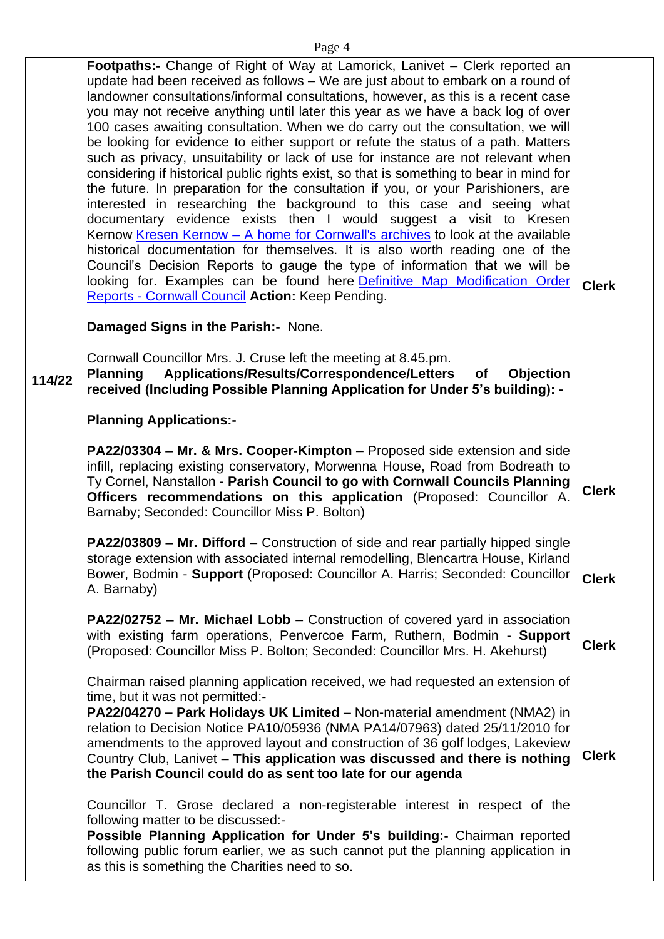|--|--|

|        | Footpaths:- Change of Right of Way at Lamorick, Lanivet - Clerk reported an<br>update had been received as follows - We are just about to embark on a round of<br>landowner consultations/informal consultations, however, as this is a recent case<br>you may not receive anything until later this year as we have a back log of over<br>100 cases awaiting consultation. When we do carry out the consultation, we will<br>be looking for evidence to either support or refute the status of a path. Matters<br>such as privacy, unsuitability or lack of use for instance are not relevant when<br>considering if historical public rights exist, so that is something to bear in mind for<br>the future. In preparation for the consultation if you, or your Parishioners, are<br>interested in researching the background to this case and seeing what<br>documentary evidence exists then I would suggest a visit to Kresen<br>Kernow Kresen Kernow - A home for Cornwall's archives to look at the available<br>historical documentation for themselves. It is also worth reading one of the<br>Council's Decision Reports to gauge the type of information that we will be<br>looking for. Examples can be found here Definitive Map Modification Order<br>Reports - Cornwall Council Action: Keep Pending. | <b>Clerk</b> |
|--------|----------------------------------------------------------------------------------------------------------------------------------------------------------------------------------------------------------------------------------------------------------------------------------------------------------------------------------------------------------------------------------------------------------------------------------------------------------------------------------------------------------------------------------------------------------------------------------------------------------------------------------------------------------------------------------------------------------------------------------------------------------------------------------------------------------------------------------------------------------------------------------------------------------------------------------------------------------------------------------------------------------------------------------------------------------------------------------------------------------------------------------------------------------------------------------------------------------------------------------------------------------------------------------------------------------------------|--------------|
|        | Damaged Signs in the Parish:- None.                                                                                                                                                                                                                                                                                                                                                                                                                                                                                                                                                                                                                                                                                                                                                                                                                                                                                                                                                                                                                                                                                                                                                                                                                                                                                  |              |
| 114/22 | Cornwall Councillor Mrs. J. Cruse left the meeting at 8.45.pm.<br>Applications/Results/Correspondence/Letters<br><b>Objection</b><br><b>Planning</b><br>of<br>received (Including Possible Planning Application for Under 5's building): -                                                                                                                                                                                                                                                                                                                                                                                                                                                                                                                                                                                                                                                                                                                                                                                                                                                                                                                                                                                                                                                                           |              |
|        | <b>Planning Applications:-</b>                                                                                                                                                                                                                                                                                                                                                                                                                                                                                                                                                                                                                                                                                                                                                                                                                                                                                                                                                                                                                                                                                                                                                                                                                                                                                       |              |
|        | PA22/03304 - Mr. & Mrs. Cooper-Kimpton - Proposed side extension and side<br>infill, replacing existing conservatory, Morwenna House, Road from Bodreath to<br>Ty Cornel, Nanstallon - Parish Council to go with Cornwall Councils Planning<br>Officers recommendations on this application (Proposed: Councillor A.<br>Barnaby; Seconded: Councillor Miss P. Bolton)                                                                                                                                                                                                                                                                                                                                                                                                                                                                                                                                                                                                                                                                                                                                                                                                                                                                                                                                                | <b>Clerk</b> |
|        | PA22/03809 - Mr. Difford - Construction of side and rear partially hipped single<br>storage extension with associated internal remodelling, Blencartra House, Kirland<br>Bower, Bodmin - Support (Proposed: Councillor A. Harris; Seconded: Councillor<br>A. Barnaby)                                                                                                                                                                                                                                                                                                                                                                                                                                                                                                                                                                                                                                                                                                                                                                                                                                                                                                                                                                                                                                                | <b>Clerk</b> |
|        | <b>PA22/02752 - Mr. Michael Lobb</b> - Construction of covered yard in association<br>with existing farm operations, Penvercoe Farm, Ruthern, Bodmin - Support<br>(Proposed: Councillor Miss P. Bolton; Seconded: Councillor Mrs. H. Akehurst)                                                                                                                                                                                                                                                                                                                                                                                                                                                                                                                                                                                                                                                                                                                                                                                                                                                                                                                                                                                                                                                                       | <b>Clerk</b> |
|        | Chairman raised planning application received, we had requested an extension of<br>time, but it was not permitted:-<br>PA22/04270 - Park Holidays UK Limited - Non-material amendment (NMA2) in<br>relation to Decision Notice PA10/05936 (NMA PA14/07963) dated 25/11/2010 for<br>amendments to the approved layout and construction of 36 golf lodges, Lakeview<br>Country Club, Lanivet - This application was discussed and there is nothing<br>the Parish Council could do as sent too late for our agenda                                                                                                                                                                                                                                                                                                                                                                                                                                                                                                                                                                                                                                                                                                                                                                                                      | <b>Clerk</b> |
|        | Councillor T. Grose declared a non-registerable interest in respect of the<br>following matter to be discussed:-<br>Possible Planning Application for Under 5's building:- Chairman reported<br>following public forum earlier, we as such cannot put the planning application in<br>as this is something the Charities need to so.                                                                                                                                                                                                                                                                                                                                                                                                                                                                                                                                                                                                                                                                                                                                                                                                                                                                                                                                                                                  |              |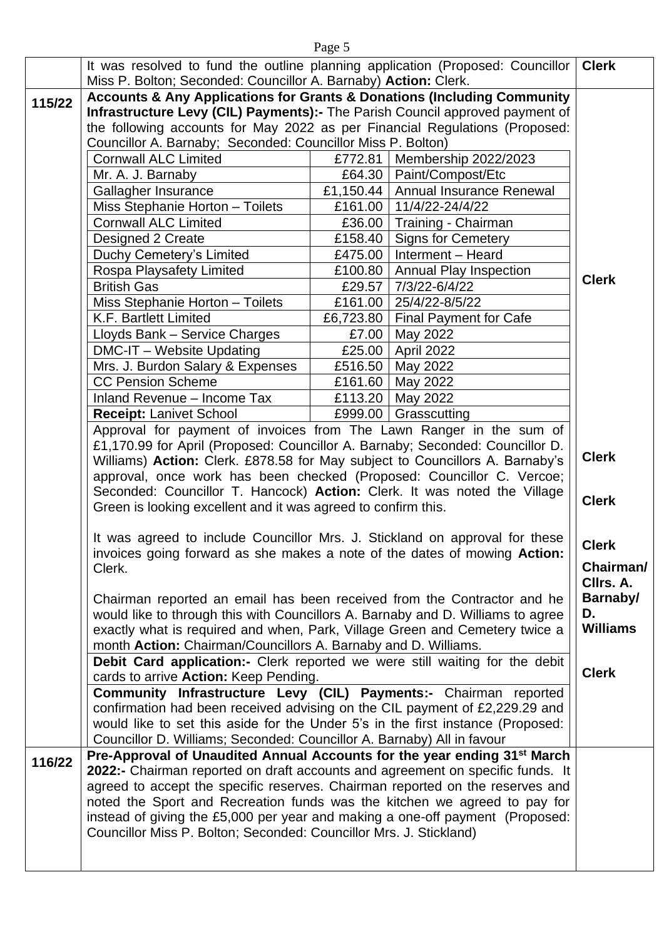|        | It was resolved to fund the outline planning application (Proposed: Councillor   Clerk<br>Miss P. Bolton; Seconded: Councillor A. Barnaby) Action: Clerk.                                                                                                                                                            |         |                                                                    |                 |
|--------|----------------------------------------------------------------------------------------------------------------------------------------------------------------------------------------------------------------------------------------------------------------------------------------------------------------------|---------|--------------------------------------------------------------------|-----------------|
| 115/22 | <b>Accounts &amp; Any Applications for Grants &amp; Donations (Including Community</b><br>Infrastructure Levy (CIL) Payments):- The Parish Council approved payment of<br>the following accounts for May 2022 as per Financial Regulations (Proposed:<br>Councillor A. Barnaby; Seconded: Councillor Miss P. Bolton) |         |                                                                    |                 |
|        | <b>Cornwall ALC Limited</b>                                                                                                                                                                                                                                                                                          | £772.81 | Membership 2022/2023                                               |                 |
|        | Mr. A. J. Barnaby<br>Gallagher Insurance                                                                                                                                                                                                                                                                             |         | £64.30   Paint/Compost/Etc<br>£1,150.44   Annual Insurance Renewal |                 |
|        | Miss Stephanie Horton - Toilets                                                                                                                                                                                                                                                                                      |         | £161.00   11/4/22-24/4/22                                          |                 |
|        | <b>Cornwall ALC Limited</b>                                                                                                                                                                                                                                                                                          |         | £36.00   Training - Chairman                                       |                 |
|        | Designed 2 Create                                                                                                                                                                                                                                                                                                    |         | £158.40   Signs for Cemetery                                       |                 |
|        | Duchy Cemetery's Limited                                                                                                                                                                                                                                                                                             |         | £475.00   Interment - Heard                                        |                 |
|        | Rospa Playsafety Limited                                                                                                                                                                                                                                                                                             |         | £100.80   Annual Play Inspection                                   |                 |
|        | <b>British Gas</b>                                                                                                                                                                                                                                                                                                   | £29.57  | 7/3/22-6/4/22                                                      | <b>Clerk</b>    |
|        | Miss Stephanie Horton - Toilets                                                                                                                                                                                                                                                                                      |         | £161.00   25/4/22-8/5/22                                           |                 |
|        | K.F. Bartlett Limited                                                                                                                                                                                                                                                                                                |         | £6,723.80   Final Payment for Cafe                                 |                 |
|        | Lloyds Bank - Service Charges                                                                                                                                                                                                                                                                                        |         | £7.00   May 2022                                                   |                 |
|        | DMC-IT - Website Updating                                                                                                                                                                                                                                                                                            |         | £25.00   April 2022                                                |                 |
|        | Mrs. J. Burdon Salary & Expenses                                                                                                                                                                                                                                                                                     |         | £516.50   May 2022                                                 |                 |
|        | <b>CC Pension Scheme</b>                                                                                                                                                                                                                                                                                             |         | £161.60   May 2022                                                 |                 |
|        | Inland Revenue - Income Tax                                                                                                                                                                                                                                                                                          |         | £113.20   May 2022                                                 |                 |
|        | <b>Receipt: Lanivet School</b>                                                                                                                                                                                                                                                                                       | £999.00 | Grasscutting                                                       |                 |
|        | Approval for payment of invoices from The Lawn Ranger in the sum of                                                                                                                                                                                                                                                  |         |                                                                    |                 |
|        | £1,170.99 for April (Proposed: Councillor A. Barnaby; Seconded: Councillor D.                                                                                                                                                                                                                                        |         |                                                                    | <b>Clerk</b>    |
|        | Williams) Action: Clerk. £878.58 for May subject to Councillors A. Barnaby's<br>approval, once work has been checked (Proposed: Councillor C. Vercoe;                                                                                                                                                                |         |                                                                    |                 |
|        | Seconded: Councillor T. Hancock) Action: Clerk. It was noted the Village                                                                                                                                                                                                                                             |         |                                                                    |                 |
|        | Green is looking excellent and it was agreed to confirm this.                                                                                                                                                                                                                                                        |         |                                                                    | <b>Clerk</b>    |
|        | It was agreed to include Councillor Mrs. J. Stickland on approval for these                                                                                                                                                                                                                                          |         |                                                                    | <b>Clerk</b>    |
|        | invoices going forward as she makes a note of the dates of mowing Action:                                                                                                                                                                                                                                            |         |                                                                    |                 |
|        | Clerk.                                                                                                                                                                                                                                                                                                               |         |                                                                    | Chairman/       |
|        |                                                                                                                                                                                                                                                                                                                      |         |                                                                    | CIIrs. A.       |
|        | Chairman reported an email has been received from the Contractor and he                                                                                                                                                                                                                                              |         |                                                                    | Barnaby/        |
|        | would like to through this with Councillors A. Barnaby and D. Williams to agree                                                                                                                                                                                                                                      |         |                                                                    | D.              |
|        | exactly what is required and when, Park, Village Green and Cemetery twice a                                                                                                                                                                                                                                          |         |                                                                    | <b>Williams</b> |
|        | month Action: Chairman/Councillors A. Barnaby and D. Williams.                                                                                                                                                                                                                                                       |         |                                                                    |                 |
|        | Debit Card application:- Clerk reported we were still waiting for the debit<br>cards to arrive Action: Keep Pending.                                                                                                                                                                                                 |         |                                                                    | <b>Clerk</b>    |
|        | Community Infrastructure Levy (CIL) Payments:- Chairman reported                                                                                                                                                                                                                                                     |         |                                                                    |                 |
|        | confirmation had been received advising on the CIL payment of £2,229.29 and                                                                                                                                                                                                                                          |         |                                                                    |                 |
|        | would like to set this aside for the Under 5's in the first instance (Proposed:                                                                                                                                                                                                                                      |         |                                                                    |                 |
|        | Councillor D. Williams; Seconded: Councillor A. Barnaby) All in favour                                                                                                                                                                                                                                               |         |                                                                    |                 |
| 116/22 | Pre-Approval of Unaudited Annual Accounts for the year ending 31 <sup>st</sup> March                                                                                                                                                                                                                                 |         |                                                                    |                 |
|        | 2022:- Chairman reported on draft accounts and agreement on specific funds. It                                                                                                                                                                                                                                       |         |                                                                    |                 |
|        | agreed to accept the specific reserves. Chairman reported on the reserves and                                                                                                                                                                                                                                        |         |                                                                    |                 |
|        | noted the Sport and Recreation funds was the kitchen we agreed to pay for                                                                                                                                                                                                                                            |         |                                                                    |                 |
|        | instead of giving the £5,000 per year and making a one-off payment (Proposed:                                                                                                                                                                                                                                        |         |                                                                    |                 |
|        | Councillor Miss P. Bolton; Seconded: Councillor Mrs. J. Stickland)                                                                                                                                                                                                                                                   |         |                                                                    |                 |
|        |                                                                                                                                                                                                                                                                                                                      |         |                                                                    |                 |
|        |                                                                                                                                                                                                                                                                                                                      |         |                                                                    |                 |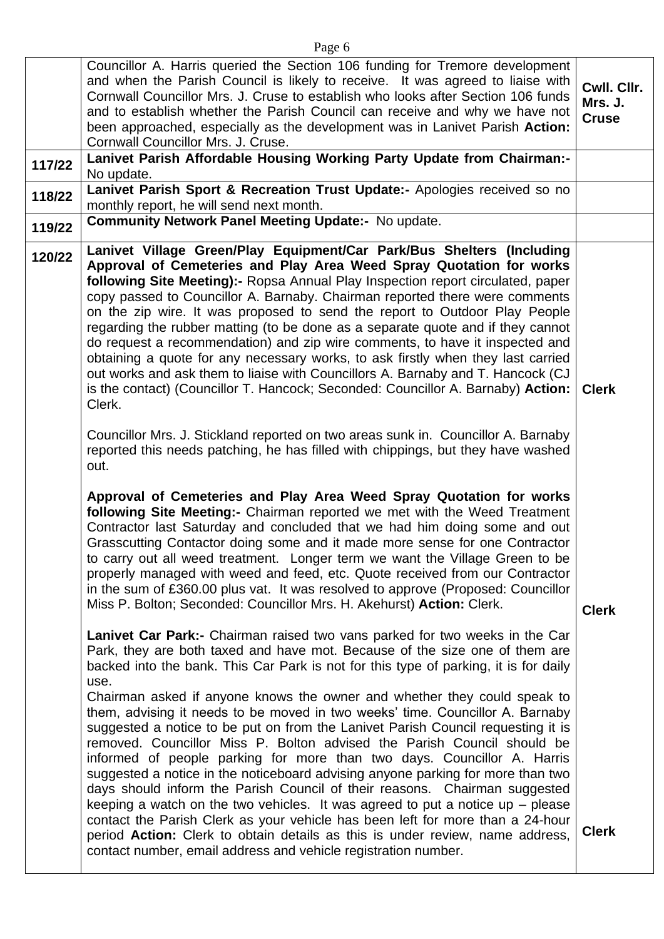|        | Councillor A. Harris queried the Section 106 funding for Tremore development<br>and when the Parish Council is likely to receive. It was agreed to liaise with<br>Cornwall Councillor Mrs. J. Cruse to establish who looks after Section 106 funds<br>and to establish whether the Parish Council can receive and why we have not<br>been approached, especially as the development was in Lanivet Parish Action:<br>Cornwall Councillor Mrs. J. Cruse.                                                                                                                                                                                                                                                                                                                                                                                                                                                                                                                                                                                                                                                                                                                                                                                                                                                                                                                                                                                                                                                                                                                                                                                                                                                                                                                                                                                                                                                                                                                                                                                                                                                                                                                                                                                                                                                                                                                                                                                                                                                                                                                                                                                                                                                                                                                                                                           | Cwll. Cllr.<br>Mrs. J.<br><b>Cruse</b>       |
|--------|-----------------------------------------------------------------------------------------------------------------------------------------------------------------------------------------------------------------------------------------------------------------------------------------------------------------------------------------------------------------------------------------------------------------------------------------------------------------------------------------------------------------------------------------------------------------------------------------------------------------------------------------------------------------------------------------------------------------------------------------------------------------------------------------------------------------------------------------------------------------------------------------------------------------------------------------------------------------------------------------------------------------------------------------------------------------------------------------------------------------------------------------------------------------------------------------------------------------------------------------------------------------------------------------------------------------------------------------------------------------------------------------------------------------------------------------------------------------------------------------------------------------------------------------------------------------------------------------------------------------------------------------------------------------------------------------------------------------------------------------------------------------------------------------------------------------------------------------------------------------------------------------------------------------------------------------------------------------------------------------------------------------------------------------------------------------------------------------------------------------------------------------------------------------------------------------------------------------------------------------------------------------------------------------------------------------------------------------------------------------------------------------------------------------------------------------------------------------------------------------------------------------------------------------------------------------------------------------------------------------------------------------------------------------------------------------------------------------------------------------------------------------------------------------------------------------------------------|----------------------------------------------|
| 117/22 | Lanivet Parish Affordable Housing Working Party Update from Chairman:-<br>No update.                                                                                                                                                                                                                                                                                                                                                                                                                                                                                                                                                                                                                                                                                                                                                                                                                                                                                                                                                                                                                                                                                                                                                                                                                                                                                                                                                                                                                                                                                                                                                                                                                                                                                                                                                                                                                                                                                                                                                                                                                                                                                                                                                                                                                                                                                                                                                                                                                                                                                                                                                                                                                                                                                                                                              |                                              |
| 118/22 | Lanivet Parish Sport & Recreation Trust Update:- Apologies received so no<br>monthly report, he will send next month.                                                                                                                                                                                                                                                                                                                                                                                                                                                                                                                                                                                                                                                                                                                                                                                                                                                                                                                                                                                                                                                                                                                                                                                                                                                                                                                                                                                                                                                                                                                                                                                                                                                                                                                                                                                                                                                                                                                                                                                                                                                                                                                                                                                                                                                                                                                                                                                                                                                                                                                                                                                                                                                                                                             |                                              |
| 119/22 | <b>Community Network Panel Meeting Update:- No update.</b>                                                                                                                                                                                                                                                                                                                                                                                                                                                                                                                                                                                                                                                                                                                                                                                                                                                                                                                                                                                                                                                                                                                                                                                                                                                                                                                                                                                                                                                                                                                                                                                                                                                                                                                                                                                                                                                                                                                                                                                                                                                                                                                                                                                                                                                                                                                                                                                                                                                                                                                                                                                                                                                                                                                                                                        |                                              |
| 120/22 | Lanivet Village Green/Play Equipment/Car Park/Bus Shelters (Including<br>Approval of Cemeteries and Play Area Weed Spray Quotation for works<br>following Site Meeting):- Ropsa Annual Play Inspection report circulated, paper<br>copy passed to Councillor A. Barnaby. Chairman reported there were comments<br>on the zip wire. It was proposed to send the report to Outdoor Play People<br>regarding the rubber matting (to be done as a separate quote and if they cannot<br>do request a recommendation) and zip wire comments, to have it inspected and<br>obtaining a quote for any necessary works, to ask firstly when they last carried<br>out works and ask them to liaise with Councillors A. Barnaby and T. Hancock (CJ<br>is the contact) (Councillor T. Hancock; Seconded: Councillor A. Barnaby) Action:<br>Clerk.<br>Councillor Mrs. J. Stickland reported on two areas sunk in. Councillor A. Barnaby<br>reported this needs patching, he has filled with chippings, but they have washed<br>out.<br>Approval of Cemeteries and Play Area Weed Spray Quotation for works<br>following Site Meeting:- Chairman reported we met with the Weed Treatment<br>Contractor last Saturday and concluded that we had him doing some and out<br>Grasscutting Contactor doing some and it made more sense for one Contractor<br>to carry out all weed treatment. Longer term we want the Village Green to be<br>properly managed with weed and feed, etc. Quote received from our Contractor<br>in the sum of £360.00 plus vat. It was resolved to approve (Proposed: Councillor<br>Miss P. Bolton; Seconded: Councillor Mrs. H. Akehurst) Action: Clerk.<br>Lanivet Car Park:- Chairman raised two vans parked for two weeks in the Car<br>Park, they are both taxed and have mot. Because of the size one of them are<br>backed into the bank. This Car Park is not for this type of parking, it is for daily<br>use.<br>Chairman asked if anyone knows the owner and whether they could speak to<br>them, advising it needs to be moved in two weeks' time. Councillor A. Barnaby<br>suggested a notice to be put on from the Lanivet Parish Council requesting it is<br>removed. Councillor Miss P. Bolton advised the Parish Council should be<br>informed of people parking for more than two days. Councillor A. Harris<br>suggested a notice in the noticeboard advising anyone parking for more than two<br>days should inform the Parish Council of their reasons. Chairman suggested<br>keeping a watch on the two vehicles. It was agreed to put a notice up $-$ please<br>contact the Parish Clerk as your vehicle has been left for more than a 24-hour<br>period Action: Clerk to obtain details as this is under review, name address,<br>contact number, email address and vehicle registration number. | <b>Clerk</b><br><b>Clerk</b><br><b>Clerk</b> |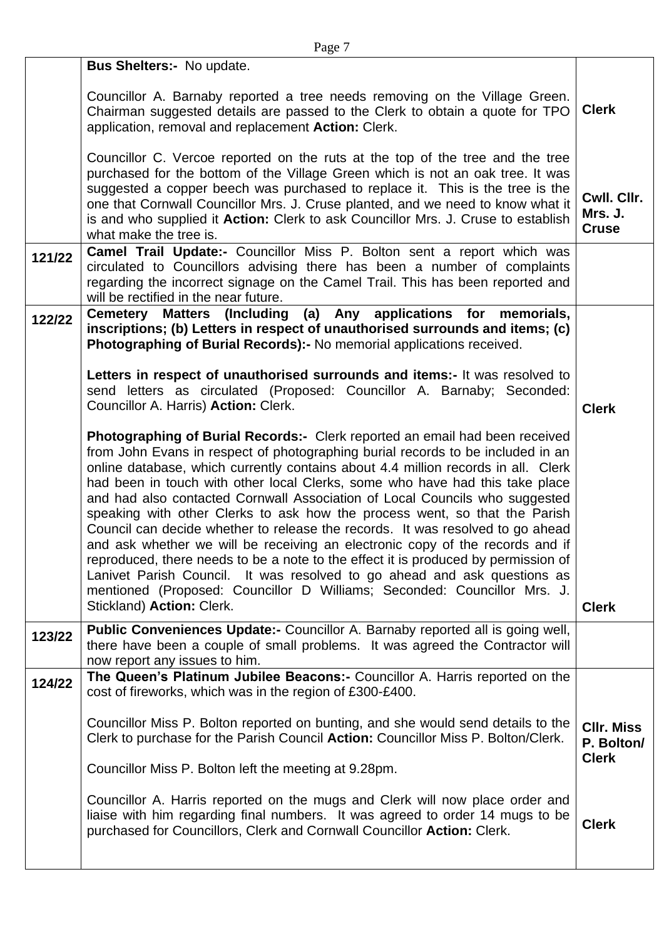|        | <b>Bus Shelters:- No update.</b>                                                                                                                                     |                        |
|--------|----------------------------------------------------------------------------------------------------------------------------------------------------------------------|------------------------|
|        |                                                                                                                                                                      |                        |
|        | Councillor A. Barnaby reported a tree needs removing on the Village Green.<br>Chairman suggested details are passed to the Clerk to obtain a quote for TPO           | <b>Clerk</b>           |
|        | application, removal and replacement Action: Clerk.                                                                                                                  |                        |
|        |                                                                                                                                                                      |                        |
|        | Councillor C. Vercoe reported on the ruts at the top of the tree and the tree<br>purchased for the bottom of the Village Green which is not an oak tree. It was      |                        |
|        | suggested a copper beech was purchased to replace it. This is the tree is the                                                                                        |                        |
|        | one that Cornwall Councillor Mrs. J. Cruse planted, and we need to know what it                                                                                      | Cwll. Cllr.<br>Mrs. J. |
|        | is and who supplied it Action: Clerk to ask Councillor Mrs. J. Cruse to establish<br>what make the tree is.                                                          | <b>Cruse</b>           |
| 121/22 | <b>Camel Trail Update:-</b> Councillor Miss P. Bolton sent a report which was                                                                                        |                        |
|        | circulated to Councillors advising there has been a number of complaints                                                                                             |                        |
|        | regarding the incorrect signage on the Camel Trail. This has been reported and<br>will be rectified in the near future.                                              |                        |
| 122/22 | Cemetery Matters (Including (a) Any applications for memorials,                                                                                                      |                        |
|        | inscriptions; (b) Letters in respect of unauthorised surrounds and items; (c)<br>Photographing of Burial Records):- No memorial applications received.               |                        |
|        |                                                                                                                                                                      |                        |
|        | Letters in respect of unauthorised surrounds and items:- It was resolved to                                                                                          |                        |
|        | send letters as circulated (Proposed: Councillor A. Barnaby; Seconded:<br>Councillor A. Harris) Action: Clerk.                                                       | <b>Clerk</b>           |
|        |                                                                                                                                                                      |                        |
|        | Photographing of Burial Records:- Clerk reported an email had been received                                                                                          |                        |
|        | from John Evans in respect of photographing burial records to be included in an<br>online database, which currently contains about 4.4 million records in all. Clerk |                        |
|        | had been in touch with other local Clerks, some who have had this take place                                                                                         |                        |
|        | and had also contacted Cornwall Association of Local Councils who suggested<br>speaking with other Clerks to ask how the process went, so that the Parish            |                        |
|        | Council can decide whether to release the records. It was resolved to go ahead                                                                                       |                        |
|        | and ask whether we will be receiving an electronic copy of the records and if                                                                                        |                        |
|        | reproduced, there needs to be a note to the effect it is produced by permission of<br>Lanivet Parish Council. It was resolved to go ahead and ask questions as       |                        |
|        | mentioned (Proposed: Councillor D Williams; Seconded: Councillor Mrs. J.                                                                                             |                        |
|        | Stickland) Action: Clerk.                                                                                                                                            | <b>Clerk</b>           |
| 123/22 | Public Conveniences Update:- Councillor A. Barnaby reported all is going well,                                                                                       |                        |
|        | there have been a couple of small problems. It was agreed the Contractor will<br>now report any issues to him.                                                       |                        |
| 124/22 | The Queen's Platinum Jubilee Beacons:- Councillor A. Harris reported on the                                                                                          |                        |
|        | cost of fireworks, which was in the region of £300-£400.                                                                                                             |                        |
|        | Councillor Miss P. Bolton reported on bunting, and she would send details to the                                                                                     | <b>CIIr. Miss</b>      |
|        | Clerk to purchase for the Parish Council Action: Councillor Miss P. Bolton/Clerk.                                                                                    | P. Bolton/             |
|        | Councillor Miss P. Bolton left the meeting at 9.28pm.                                                                                                                | <b>Clerk</b>           |
|        |                                                                                                                                                                      |                        |
|        | Councillor A. Harris reported on the mugs and Clerk will now place order and                                                                                         |                        |
|        | liaise with him regarding final numbers. It was agreed to order 14 mugs to be<br>purchased for Councillors, Clerk and Cornwall Councillor Action: Clerk.             | <b>Clerk</b>           |
|        |                                                                                                                                                                      |                        |
|        |                                                                                                                                                                      |                        |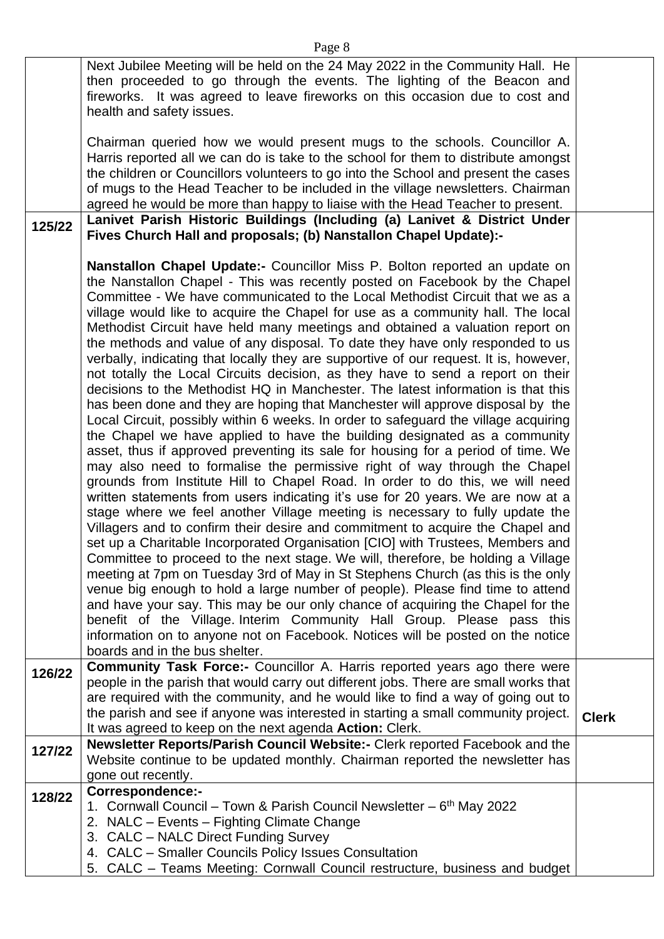|        | Next Jubilee Meeting will be held on the 24 May 2022 in the Community Hall. He<br>then proceeded to go through the events. The lighting of the Beacon and<br>fireworks. It was agreed to leave fireworks on this occasion due to cost and<br>health and safety issues.                                                                                                                                                                                                                                                                                                                                                                                                                                                                                                                                                                                                                                                                                                                                                                                                                                                                                                                                                                                                                                                                                                                                                                                                                                                                                                                                                                                                                                                                                                                                                                                                                                                                                                                                                                                                                                                                               |              |
|--------|------------------------------------------------------------------------------------------------------------------------------------------------------------------------------------------------------------------------------------------------------------------------------------------------------------------------------------------------------------------------------------------------------------------------------------------------------------------------------------------------------------------------------------------------------------------------------------------------------------------------------------------------------------------------------------------------------------------------------------------------------------------------------------------------------------------------------------------------------------------------------------------------------------------------------------------------------------------------------------------------------------------------------------------------------------------------------------------------------------------------------------------------------------------------------------------------------------------------------------------------------------------------------------------------------------------------------------------------------------------------------------------------------------------------------------------------------------------------------------------------------------------------------------------------------------------------------------------------------------------------------------------------------------------------------------------------------------------------------------------------------------------------------------------------------------------------------------------------------------------------------------------------------------------------------------------------------------------------------------------------------------------------------------------------------------------------------------------------------------------------------------------------------|--------------|
|        | Chairman queried how we would present mugs to the schools. Councillor A.<br>Harris reported all we can do is take to the school for them to distribute amongst                                                                                                                                                                                                                                                                                                                                                                                                                                                                                                                                                                                                                                                                                                                                                                                                                                                                                                                                                                                                                                                                                                                                                                                                                                                                                                                                                                                                                                                                                                                                                                                                                                                                                                                                                                                                                                                                                                                                                                                       |              |
|        | the children or Councillors volunteers to go into the School and present the cases<br>of mugs to the Head Teacher to be included in the village newsletters. Chairman                                                                                                                                                                                                                                                                                                                                                                                                                                                                                                                                                                                                                                                                                                                                                                                                                                                                                                                                                                                                                                                                                                                                                                                                                                                                                                                                                                                                                                                                                                                                                                                                                                                                                                                                                                                                                                                                                                                                                                                |              |
|        | agreed he would be more than happy to liaise with the Head Teacher to present.                                                                                                                                                                                                                                                                                                                                                                                                                                                                                                                                                                                                                                                                                                                                                                                                                                                                                                                                                                                                                                                                                                                                                                                                                                                                                                                                                                                                                                                                                                                                                                                                                                                                                                                                                                                                                                                                                                                                                                                                                                                                       |              |
| 125/22 | Lanivet Parish Historic Buildings (Including (a) Lanivet & District Under<br>Fives Church Hall and proposals; (b) Nanstallon Chapel Update):-                                                                                                                                                                                                                                                                                                                                                                                                                                                                                                                                                                                                                                                                                                                                                                                                                                                                                                                                                                                                                                                                                                                                                                                                                                                                                                                                                                                                                                                                                                                                                                                                                                                                                                                                                                                                                                                                                                                                                                                                        |              |
|        | Nanstallon Chapel Update:- Councillor Miss P. Bolton reported an update on<br>the Nanstallon Chapel - This was recently posted on Facebook by the Chapel<br>Committee - We have communicated to the Local Methodist Circuit that we as a<br>village would like to acquire the Chapel for use as a community hall. The local<br>Methodist Circuit have held many meetings and obtained a valuation report on<br>the methods and value of any disposal. To date they have only responded to us<br>verbally, indicating that locally they are supportive of our request. It is, however,<br>not totally the Local Circuits decision, as they have to send a report on their<br>decisions to the Methodist HQ in Manchester. The latest information is that this<br>has been done and they are hoping that Manchester will approve disposal by the<br>Local Circuit, possibly within 6 weeks. In order to safeguard the village acquiring<br>the Chapel we have applied to have the building designated as a community<br>asset, thus if approved preventing its sale for housing for a period of time. We<br>may also need to formalise the permissive right of way through the Chapel<br>grounds from Institute Hill to Chapel Road. In order to do this, we will need<br>written statements from users indicating it's use for 20 years. We are now at a<br>stage where we feel another Village meeting is necessary to fully update the<br>Villagers and to confirm their desire and commitment to acquire the Chapel and<br>set up a Charitable Incorporated Organisation [CIO] with Trustees, Members and<br>Committee to proceed to the next stage. We will, therefore, be holding a Village<br>meeting at 7pm on Tuesday 3rd of May in St Stephens Church (as this is the only<br>venue big enough to hold a large number of people). Please find time to attend<br>and have your say. This may be our only chance of acquiring the Chapel for the<br>benefit of the Village. Interim Community Hall Group. Please pass this<br>information on to anyone not on Facebook. Notices will be posted on the notice<br>boards and in the bus shelter. |              |
| 126/22 | <b>Community Task Force:-</b> Councillor A. Harris reported years ago there were<br>people in the parish that would carry out different jobs. There are small works that<br>are required with the community, and he would like to find a way of going out to                                                                                                                                                                                                                                                                                                                                                                                                                                                                                                                                                                                                                                                                                                                                                                                                                                                                                                                                                                                                                                                                                                                                                                                                                                                                                                                                                                                                                                                                                                                                                                                                                                                                                                                                                                                                                                                                                         |              |
|        | the parish and see if anyone was interested in starting a small community project.<br>It was agreed to keep on the next agenda <b>Action:</b> Clerk.                                                                                                                                                                                                                                                                                                                                                                                                                                                                                                                                                                                                                                                                                                                                                                                                                                                                                                                                                                                                                                                                                                                                                                                                                                                                                                                                                                                                                                                                                                                                                                                                                                                                                                                                                                                                                                                                                                                                                                                                 | <b>Clerk</b> |
| 127/22 | Newsletter Reports/Parish Council Website:- Clerk reported Facebook and the<br>Website continue to be updated monthly. Chairman reported the newsletter has<br>gone out recently.                                                                                                                                                                                                                                                                                                                                                                                                                                                                                                                                                                                                                                                                                                                                                                                                                                                                                                                                                                                                                                                                                                                                                                                                                                                                                                                                                                                                                                                                                                                                                                                                                                                                                                                                                                                                                                                                                                                                                                    |              |
| 128/22 | <b>Correspondence:-</b><br>1. Cornwall Council – Town & Parish Council Newsletter – 6th May 2022<br>2. NALC - Events - Fighting Climate Change<br>3. CALC - NALC Direct Funding Survey                                                                                                                                                                                                                                                                                                                                                                                                                                                                                                                                                                                                                                                                                                                                                                                                                                                                                                                                                                                                                                                                                                                                                                                                                                                                                                                                                                                                                                                                                                                                                                                                                                                                                                                                                                                                                                                                                                                                                               |              |
|        | 4. CALC - Smaller Councils Policy Issues Consultation<br>5. CALC - Teams Meeting: Cornwall Council restructure, business and budget                                                                                                                                                                                                                                                                                                                                                                                                                                                                                                                                                                                                                                                                                                                                                                                                                                                                                                                                                                                                                                                                                                                                                                                                                                                                                                                                                                                                                                                                                                                                                                                                                                                                                                                                                                                                                                                                                                                                                                                                                  |              |